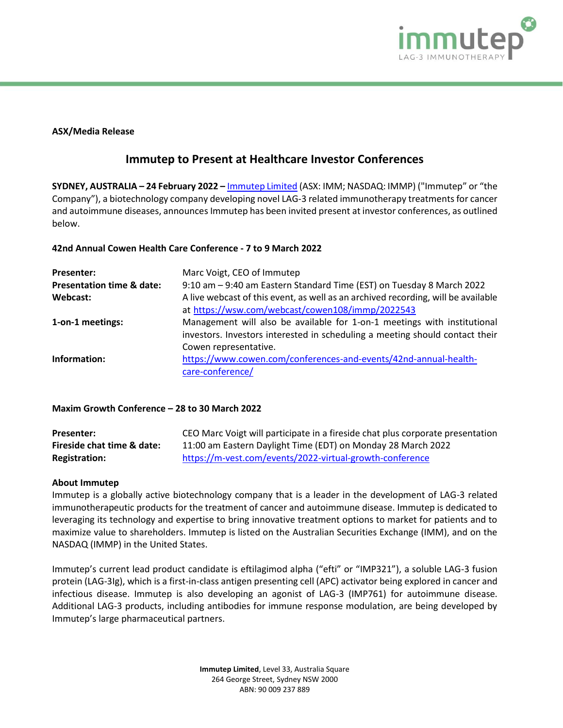

#### **ASX/Media Release**

# **Immutep to Present at Healthcare Investor Conferences**

**SYDNEY, AUSTRALIA – 24 February 2022 –** [Immutep Limited](about:blank) (ASX: IMM; NASDAQ: IMMP) ("Immutep" or "the Company"), a biotechnology company developing novel LAG-3 related immunotherapy treatments for cancer and autoimmune diseases, announces Immutep has been invited present at investor conferences, as outlined below.

### **42nd Annual Cowen Health Care Conference - 7 to 9 March 2022**

| <b>Presenter:</b>                    | Marc Voigt, CEO of Immutep                                                        |
|--------------------------------------|-----------------------------------------------------------------------------------|
| <b>Presentation time &amp; date:</b> | 9:10 am - 9:40 am Eastern Standard Time (EST) on Tuesday 8 March 2022             |
| Webcast:                             | A live webcast of this event, as well as an archived recording, will be available |
|                                      | at https://wsw.com/webcast/cowen108/immp/2022543                                  |
| 1-on-1 meetings:                     | Management will also be available for 1-on-1 meetings with institutional          |
|                                      | investors. Investors interested in scheduling a meeting should contact their      |
|                                      | Cowen representative.                                                             |
| Information:                         | https://www.cowen.com/conferences-and-events/42nd-annual-health-                  |
|                                      | care-conference/                                                                  |

## **Maxim Growth Conference – 28 to 30 March 2022**

| Presenter:                 | CEO Marc Voigt will participate in a fireside chat plus corporate presentation |
|----------------------------|--------------------------------------------------------------------------------|
| Fireside chat time & date: | 11:00 am Eastern Daylight Time (EDT) on Monday 28 March 2022                   |
| <b>Registration:</b>       | https://m-vest.com/events/2022-virtual-growth-conference                       |

#### **About Immutep**

Immutep is a globally active biotechnology company that is a leader in the development of LAG-3 related immunotherapeutic products for the treatment of cancer and autoimmune disease. Immutep is dedicated to leveraging its technology and expertise to bring innovative treatment options to market for patients and to maximize value to shareholders. Immutep is listed on the Australian Securities Exchange (IMM), and on the NASDAQ (IMMP) in the United States.

Immutep's current lead product candidate is eftilagimod alpha ("efti" or "IMP321"), a soluble LAG-3 fusion protein (LAG-3Ig), which is a first-in-class antigen presenting cell (APC) activator being explored in cancer and infectious disease. Immutep is also developing an agonist of LAG-3 (IMP761) for autoimmune disease. Additional LAG-3 products, including antibodies for immune response modulation, are being developed by Immutep's large pharmaceutical partners.